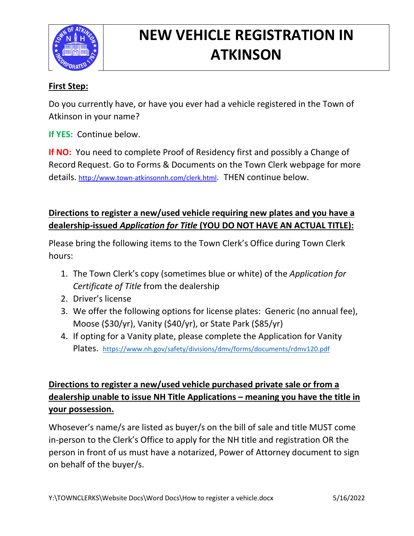

# **NEW VEHICLE REGISTRATION IN ATKINSON**

### **First Step:**

Do you currently have, or have you ever had a vehicle registered in the Town of Atkinson in your name?

**If YES:** Continue below.

**If NO:** You need to complete Proof of Residency first and possibly a Change of Record Request. Go to Forms & Documents on the Town Clerk webpage for more details. [http://www.town-atkinsonnh.com/clerk.html.](http://www.town-atkinsonnh.com/clerk.html) THEN continue below.

### **Directions to register a new/used vehicle requiring new plates and you have a dealership-issued** *Application for Title* **(YOU DO NOT HAVE AN ACTUAL TITLE):**

Please bring the following items to the Town Clerk's Office during Town Clerk hours:

- 1. The Town Clerk's copy (sometimes blue or white) of the *Application for Certificate of Title* from the dealership
- 2. Driver's license
- 3. We offer the following options for license plates: Generic (no annual fee), Moose (\$30/yr), Vanity (\$40/yr), or State Park (\$85/yr)
- 4. If opting for a Vanity plate, please complete the Application for Vanity Plates. <https://www.nh.gov/safety/divisions/dmv/forms/documents/rdmv120.pdf>

## **Directions to register a new/used vehicle purchased private sale or from a dealership unable to issue NH Title Applications – meaning you have the title in your possession.**

Whosever's name/s are listed as buyer/s on the bill of sale and title MUST come in-person to the Clerk's Office to apply for the NH title and registration OR the person in front of us must have a notarized, Power of Attorney document to sign on behalf of the buyer/s.